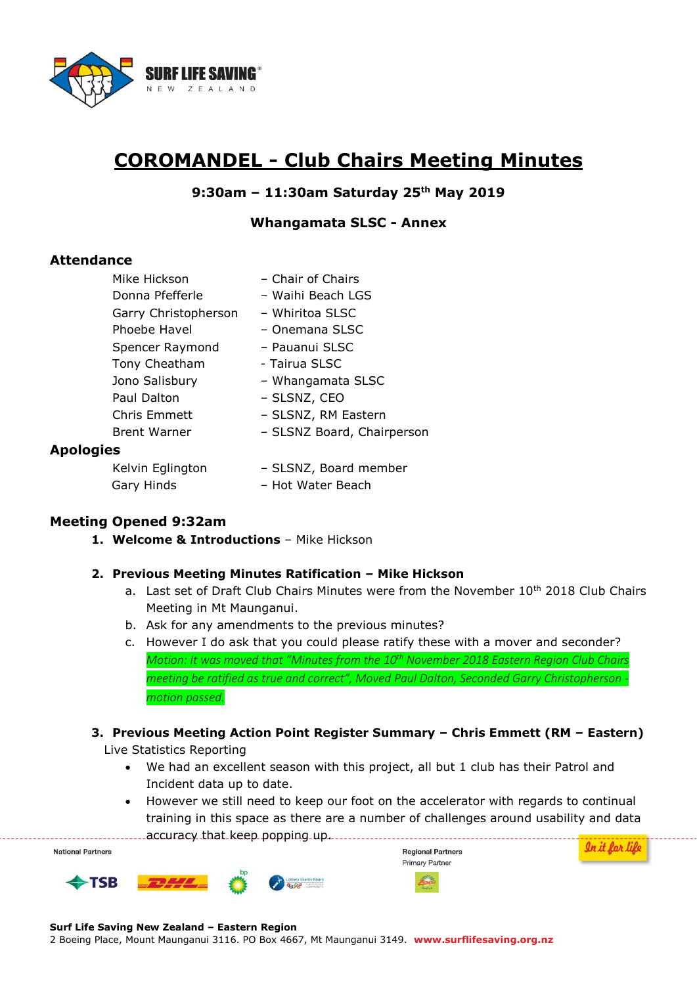

# **COROMANDEL - Club Chairs Meeting Minutes**

## **9:30am – 11:30am Saturday 25th May 2019**

#### **Whangamata SLSC - Annex**

## **Attendance**

| Mike Hickson         | - Chair of Chairs          |
|----------------------|----------------------------|
| Donna Pfefferle      | - Waihi Beach LGS          |
| Garry Christopherson | – Whiritoa SLSC            |
| Phoebe Havel         | - Onemana SLSC             |
| Spencer Raymond      | - Pauanui SLSC             |
| Tony Cheatham        | - Tairua SLSC              |
| Jono Salisbury       | - Whangamata SLSC          |
| Paul Dalton          | - SLSNZ, CEO               |
| Chris Emmett         | - SLSNZ, RM Eastern        |
| <b>Brent Warner</b>  | - SLSNZ Board, Chairperson |
| ١S.                  |                            |
| Kelvin Falinaton     | - SLSNZ, Board member      |

#### **Apologie**

| Kelvin Eglington | - SLSNZ, Board member |
|------------------|-----------------------|
| Gary Hinds       | - Hot Water Beach     |

# **Meeting Opened 9:32am**

**1. Welcome & Introductions** – Mike Hickson

#### **2. Previous Meeting Minutes Ratification – Mike Hickson**

- a. Last set of Draft Club Chairs Minutes were from the November  $10^{th}$  2018 Club Chairs Meeting in Mt Maunganui.
- b. Ask for any amendments to the previous minutes?
- c. However I do ask that you could please ratify these with a mover and seconder? *Motion: It was moved that "Minutes from the 10th November 2018 Eastern Region Club Chairs meeting be ratified as true and correct", Moved Paul Dalton, Seconded Garry Christopherson motion passed.*

#### **3. Previous Meeting Action Point Register Summary – Chris Emmett (RM – Eastern)**

Live Statistics Reporting

- We had an excellent season with this project, all but 1 club has their Patrol and Incident data up to date.
- However we still need to keep our foot on the accelerator with regards to continual training in this space as there are a number of challenges around usability and data .........accuracy that keep popping up.................

In it for life **Regional Partners National Partners Primary Partner TSB** 

**Surf Life Saving New Zealand – Eastern Region** 

2 Boeing Place, Mount Maunganui 3116. PO Box 4667, Mt Maunganui 3149. **www.surflifesaving.org.nz**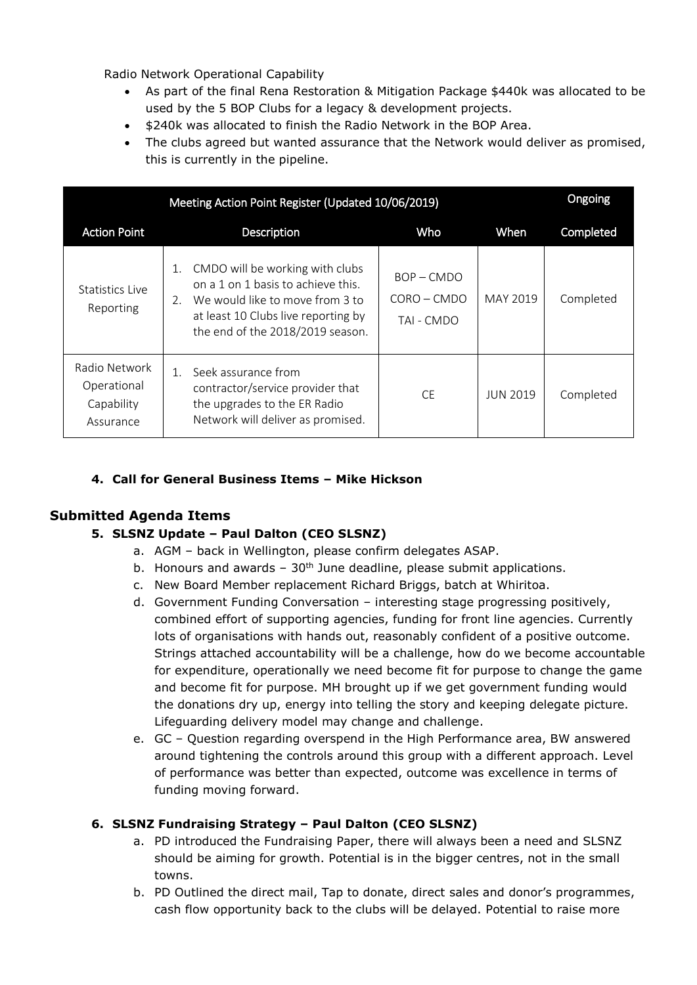Radio Network Operational Capability

- As part of the final Rena Restoration & Mitigation Package \$440k was allocated to be used by the 5 BOP Clubs for a legacy & development projects.
- $\bullet$  \$240k was allocated to finish the Radio Network in the BOP Area.
- The clubs agreed but wanted assurance that the Network would deliver as promised, this is currently in the pipeline.

|                                                         | Meeting Action Point Register (Updated 10/06/2019)                                                                                                                                              |                                           |                 | Ongoing          |
|---------------------------------------------------------|-------------------------------------------------------------------------------------------------------------------------------------------------------------------------------------------------|-------------------------------------------|-----------------|------------------|
| <b>Action Point</b>                                     | Description                                                                                                                                                                                     | Who                                       | When            | <b>Completed</b> |
| Statistics Live<br>Reporting                            | CMDO will be working with clubs<br>1.<br>on a 1 on 1 basis to achieve this.<br>We would like to move from 3 to<br>2.<br>at least 10 Clubs live reporting by<br>the end of the 2018/2019 season. | $BOP - CMDO$<br>CORO - CMDO<br>TAI - CMDO | MAY 2019        | Completed        |
| Radio Network<br>Operational<br>Capability<br>Assurance | Seek assurance from<br>contractor/service provider that<br>the upgrades to the ER Radio<br>Network will deliver as promised.                                                                    | CF.                                       | <b>JUN 2019</b> | Completed        |

# **4. Call for General Business Items – Mike Hickson**

# **Submitted Agenda Items**

# **5. SLSNZ Update – Paul Dalton (CEO SLSNZ)**

- a. AGM back in Wellington, please confirm delegates ASAP.
- b. Honours and awards  $-30<sup>th</sup>$  June deadline, please submit applications.
- c. New Board Member replacement Richard Briggs, batch at Whiritoa.
- d. Government Funding Conversation interesting stage progressing positively, combined effort of supporting agencies, funding for front line agencies. Currently lots of organisations with hands out, reasonably confident of a positive outcome. Strings attached accountability will be a challenge, how do we become accountable for expenditure, operationally we need become fit for purpose to change the game and become fit for purpose. MH brought up if we get government funding would the donations dry up, energy into telling the story and keeping delegate picture. Lifeguarding delivery model may change and challenge.
- e. GC Question regarding overspend in the High Performance area, BW answered around tightening the controls around this group with a different approach. Level of performance was better than expected, outcome was excellence in terms of funding moving forward.

# **6. SLSNZ Fundraising Strategy – Paul Dalton (CEO SLSNZ)**

- a. PD introduced the Fundraising Paper, there will always been a need and SLSNZ should be aiming for growth. Potential is in the bigger centres, not in the small towns.
- b. PD Outlined the direct mail, Tap to donate, direct sales and donor's programmes, cash flow opportunity back to the clubs will be delayed. Potential to raise more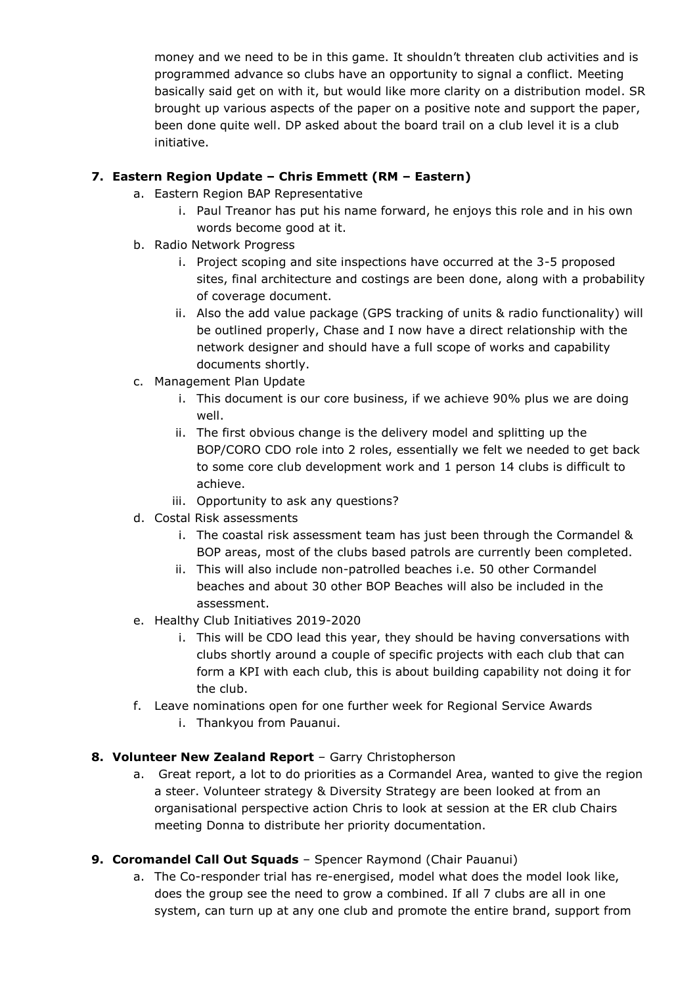money and we need to be in this game. It shouldn't threaten club activities and is programmed advance so clubs have an opportunity to signal a conflict. Meeting basically said get on with it, but would like more clarity on a distribution model. SR brought up various aspects of the paper on a positive note and support the paper, been done quite well. DP asked about the board trail on a club level it is a club initiative.

# **7. Eastern Region Update – Chris Emmett (RM – Eastern)**

- a. Eastern Region BAP Representative
	- i. Paul Treanor has put his name forward, he enjoys this role and in his own words become good at it.
- b. Radio Network Progress
	- i. Project scoping and site inspections have occurred at the 3-5 proposed sites, final architecture and costings are been done, along with a probability of coverage document.
	- ii. Also the add value package (GPS tracking of units & radio functionality) will be outlined properly, Chase and I now have a direct relationship with the network designer and should have a full scope of works and capability documents shortly.
- c. Management Plan Update
	- i. This document is our core business, if we achieve 90% plus we are doing well.
	- ii. The first obvious change is the delivery model and splitting up the BOP/CORO CDO role into 2 roles, essentially we felt we needed to get back to some core club development work and 1 person 14 clubs is difficult to achieve.
	- iii. Opportunity to ask any questions?
- d. Costal Risk assessments
	- i. The coastal risk assessment team has just been through the Cormandel & BOP areas, most of the clubs based patrols are currently been completed.
	- ii. This will also include non-patrolled beaches i.e. 50 other Cormandel beaches and about 30 other BOP Beaches will also be included in the assessment.
- e. Healthy Club Initiatives 2019-2020
	- i. This will be CDO lead this year, they should be having conversations with clubs shortly around a couple of specific projects with each club that can form a KPI with each club, this is about building capability not doing it for the club.
- f. Leave nominations open for one further week for Regional Service Awards
	- i. Thankyou from Pauanui.

# **8. Volunteer New Zealand Report** – Garry Christopherson

- a. Great report, a lot to do priorities as a Cormandel Area, wanted to give the region a steer. Volunteer strategy & Diversity Strategy are been looked at from an organisational perspective action Chris to look at session at the ER club Chairs meeting Donna to distribute her priority documentation.
- **9. Coromandel Call Out Squads** Spencer Raymond (Chair Pauanui)
	- a. The Co-responder trial has re-energised, model what does the model look like, does the group see the need to grow a combined. If all 7 clubs are all in one system, can turn up at any one club and promote the entire brand, support from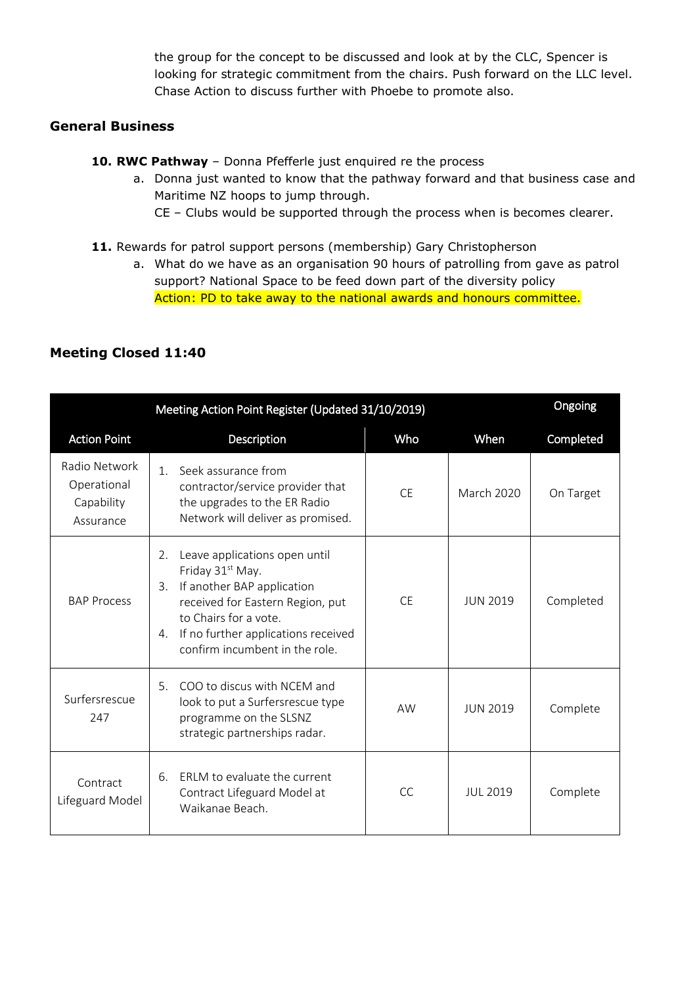the group for the concept to be discussed and look at by the CLC, Spencer is looking for strategic commitment from the chairs. Push forward on the LLC level. Chase Action to discuss further with Phoebe to promote also.

# **General Business**

- **10. RWC Pathway** Donna Pfefferle just enquired re the process
	- a. Donna just wanted to know that the pathway forward and that business case and Maritime NZ hoops to jump through.
		- CE Clubs would be supported through the process when is becomes clearer.
- 11. Rewards for patrol support persons (membership) Gary Christopherson
	- a. What do we have as an organisation 90 hours of patrolling from gave as patrol support? National Space to be feed down part of the diversity policy Action: PD to take away to the national awards and honours committee.

|                                                         | Meeting Action Point Register (Updated 31/10/2019)                                                                                                                                                                                                  |           |                   | Ongoing   |
|---------------------------------------------------------|-----------------------------------------------------------------------------------------------------------------------------------------------------------------------------------------------------------------------------------------------------|-----------|-------------------|-----------|
| <b>Action Point</b>                                     | Description                                                                                                                                                                                                                                         | Who       | When              | Completed |
| Radio Network<br>Operational<br>Capability<br>Assurance | Seek assurance from<br>$\mathbf{1}$<br>contractor/service provider that<br>the upgrades to the ER Radio<br>Network will deliver as promised.                                                                                                        | <b>CE</b> | <b>March 2020</b> | On Target |
| <b>BAP Process</b>                                      | Leave applications open until<br>2.<br>Friday 31 <sup>st</sup> May.<br>If another BAP application<br>3.<br>received for Eastern Region, put<br>to Chairs for a vote.<br>If no further applications received<br>4.<br>confirm incumbent in the role. | CF.       | <b>JUN 2019</b>   | Completed |
| Surfersrescue<br>247                                    | COO to discus with NCEM and<br>5 <sub>1</sub><br>look to put a Surfersrescue type<br>programme on the SLSNZ<br>strategic partnerships radar.                                                                                                        | <b>AW</b> | <b>JUN 2019</b>   | Complete  |
| Contract<br>Lifeguard Model                             | ERLM to evaluate the current<br>6.<br>Contract Lifeguard Model at<br>Waikanae Beach.                                                                                                                                                                | <b>CC</b> | <b>JUL 2019</b>   | Complete  |

# **Meeting Closed 11:40**